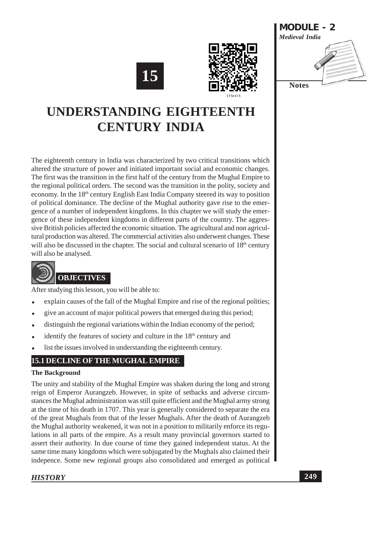





# **UNDERSTANDING EIGHTEENT CENTURY INDIA**

The eighteenth century in India was characterized by two critical transitions which altered the structure of power and initiated important social and economic changes. The first was the transition in the first half of the century from the Mughal Empire to the regional political orders. The second was the transition in the polity, society and economy. In the 18<sup>th</sup> century English East India Company steered its way to position of political dominance. The decline of the Mughal authority gave rise to the emergence of a number of independent kingdoms. In this chapter we will study the emergence of these independent kingdoms in different parts of the country. The aggressive British policies affected the economic situation. The agricultural and non agricultural production was altered. The commercial activities also underwent changes. These will also be discussed in the chapter. The social and cultural scenario of 18<sup>th</sup> century will also be analysed.



After studying this lesson, you will be able to:

- explain causes of the fall of the Mughal Empire and rise of the regional polities;
- give an account of major political powers that emerged during this period;
- distinguish the regional variations within the Indian economy of the period;
- identify the features of society and culture in the 18<sup>th</sup> century and
- list the issues involved in understanding the eighteenth century.

# **15.1 DECLINE OF THE MUGHAL EMPIRE**

#### **The Background**

The unity and stability of the Mughal Empire was shaken during the long and strong reign of Emperor Aurangzeb. However, in spite of setbacks and adverse circumstances the Mughal administration was still quite efficient and the Mughal army strong at the time of his death in 1707. This year is generally considered to separate the era of the great Mughals from that of the lesser Mughals. After the death of Aurangzeb the Mughal authority weakened, it was not in a position to militarily enforce its regulations in all parts of the empire. As a result many provincial governors started to assert their authority. In due course of time they gained independent status. At the same time many kingdoms which were subjugated by the Mughals also claimed their indepence. Some new regional groups also consolidated and emerged as political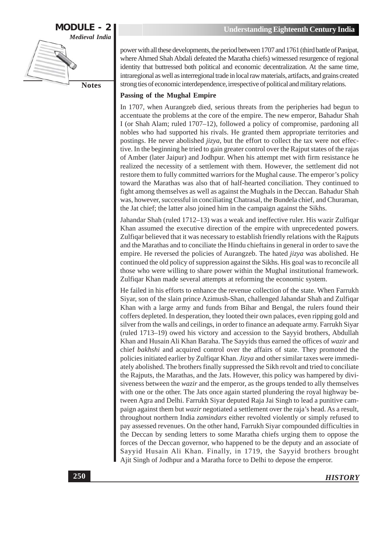

power with all these developments, the period between 1707 and 1761 (third battle of Panipat, where Ahmed Shah Abdali defeated the Maratha chiefs) witnessed resurgence of regional identity that buttressed both political and economic decentralization. At the same time, intraregional as well as interregional trade in local raw materials, artifacts, and grains created strong ties of economic interdependence, irrespective of political and military relations.

#### Passing of the Mughal Empire

In 1707, when Aurangzeb died, serious threats from the peripheries had begun to accentuate the problems at the core of the empire. The new emperor, Bahadur Shah I (or Shah Alam; ruled 1707-12), followed a policy of compromise, pardoning all nobles who had supported his rivals. He granted them appropriate territories and postings. He never abolished jizya, but the effort to collect the tax were not effective. In the beginning he tried to gain greater control over the Rajput states of the rajas of Amber (later Jaipur) and Jodhpur. When his attempt met with firm resistance he realized the necessity of a settlement with them. However, the settlement did not restore them to fully committed warriors for the Mughal cause. The emperor's policy toward the Marathas was also that of half-hearted conciliation. They continued to fight among themselves as well as against the Mughals in the Deccan. Bahadur Shah was, however, successful in conciliating Chatrasal, the Bundela chief, and Churaman, the Jat chief; the latter also joined him in the campaign against the Sikhs.

Jahandar Shah (ruled 1712–13) was a weak and ineffective ruler. His wazir Zulfiqar Khan assumed the executive direction of the empire with unprecedented powers. Zulfigar believed that it was necessary to establish friendly relations with the Rajputs and the Marathas and to conciliate the Hindu chieftains in general in order to save the empire. He reversed the policies of Aurangzeb. The hated jizya was abolished. He continued the old policy of suppression against the Sikhs. His goal was to reconcile all those who were willing to share power within the Mughal institutional framework. Zulfiqar Khan made several attempts at reforming the economic system.

He failed in his efforts to enhance the revenue collection of the state. When Farrukh Siyar, son of the slain prince Azimush-Shan, challenged Jahandar Shah and Zulfiqar Khan with a large army and funds from Bihar and Bengal, the rulers found their coffers depleted. In desperation, they looted their own palaces, even ripping gold and silver from the walls and ceilings, in order to finance an adequate army. Farrukh Siyar (ruled 1713–19) owed his victory and accession to the Sayyid brothers, Abdullah Khan and Husain Ali Khan Baraha. The Sayyids thus earned the offices of wazir and chief bakhshi and acquired control over the affairs of state. They promoted the policies initiated earlier by Zulfiqar Khan. Jizya and other similar taxes were immediately abolished. The brothers finally suppressed the Sikh revolt and tried to conciliate the Rajputs, the Marathas, and the Jats. However, this policy was hampered by divisiveness between the *wazir* and the emperor, as the groups tended to ally themselves with one or the other. The Jats once again started plundering the royal highway between Agra and Delhi. Farrukh Siyar deputed Raja Jai Singh to lead a punitive campaign against them but *wazir* negotiated a settlement over the raja's head. As a result, throughout northern India *zamindars* either revolted violently or simply refused to pay assessed revenues. On the other hand, Farrukh Siyar compounded difficulties in the Deccan by sending letters to some Maratha chiefs urging them to oppose the forces of the Deccan governor, who happened to be the deputy and an associate of Sayyid Husain Ali Khan. Finally, in 1719, the Sayyid brothers brought Ajit Singh of Jodhpur and a Maratha force to Delhi to depose the emperor.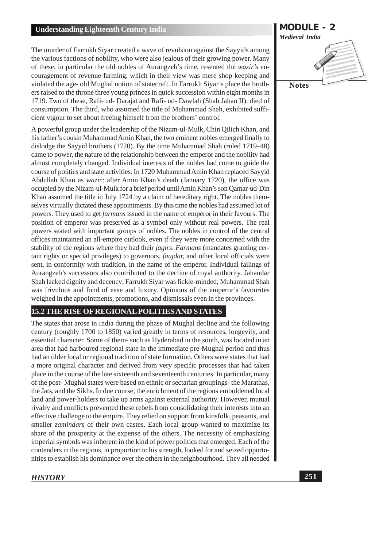The murder of Farrukh Siyar created a wave of revulsion against the Sayyids among the various factions of nobility, who were also jealous of their growing power. Many of these, in particular the old nobles of Aurangzeb's time, resented the *wazir's* encouragement of revenue farming, which in their view was mere shop keeping and violated the age- old Mughal notion of statecraft. In Farrukh Siyar's place the brothers raised to the throne three young princes in quick succession within eight months in 1719. Two of these, Rafi- ud- Darajat and Rafi- ud- Dawlah (Shah Jahan II), died of consumption. The third, who assumed the title of Muhammad Shah, exhibited sufficient vigour to set about freeing himself from the brothers' control.

A powerful group under the leadership of the Nizam-ul-Mulk, Chin Qilich Khan, and his father's cousin Muhammad Amin Khan, the two eminent nobles emerged finally to dislodge the Sayyid brothers (1720). By the time Muhammad Shah (ruled 1719–48) came to power, the nature of the relationship between the emperor and the nobility had almost completely changed. Individual interests of the nobles had come to guide the course of politics and state activities. In 1720 Muhammad Amin Khan replaced Sayyid Abdullah Khan as wazir; after Amin Khan's death (January 1720), the office was occupied by the Nizam-ul-Mulk for a brief period until Amin Khan's son Qamar-ud-Din Khan assumed the title in July 1724 by a claim of hereditary right. The nobles themselves virtually dictated these appointments. By this time the nobles had assumed lot of powers. They used to get *farmans* issued in the name of emperor in their favours. The position of emperor was preserved as a symbol only without real powers. The real powers seated with important groups of nobles. The nobles in control of the central offices maintained an all-empire outlook, even if they were more concerned with the stability of the regions where they had their *jagirs. Farmans* (mandates granting certain rights or special privileges) to governors, *faujdar*, and other local officials were sent, in conformity with tradition, in the name of the emperor. Individual failings of Aurangzeb's successors also contributed to the decline of royal authority. Jahandar Shah lacked dignity and decency; Farrukh Siyar was fickle-minded; Muhammad Shah was frivulous and fond of ease and luxury. Opinions of the emperor's favourities weighed in the appointments, promotions, and dismissals even in the provinces.

# **15.2 THE RISE OF REGIONAL POLITIES AND STATES**

The states that arose in India during the phase of Mughal decline and the following century (roughly 1700 to 1850) varied greatly in terms of resources, longevity, and essential character. Some of them- such as Hyderabad in the south, was located in an area that had harboured regional state in the immediate pre-Mughal period and thus had an older local or regional tradition of state formation. Others were states that had a more original character and derived from very specific processes that had taken place in the course of the late sixteenth and seventeenth centuries. In particular, many of the post-Mughal states were based on ethnic or sectarian groupings- the Marathas, the Jats, and the Sikhs. In due course, the enrichment of the regions emboldened local land and power-holders to take up arms against external authority. However, mutual rivalry and conflicts prevented these rebels from consolidating their interests into an effective challenge to the empire. They relied on support from kinsfolk, peasants, and smaller *zamindars* of their own castes. Each local group wanted to maximize its share of the prosperity at the expense of the others. The necessity of emphasizing imperial symbols was inherent in the kind of power politics that emerged. Each of the contenders in the regions, in proportion to his strength, looked for and seized opportunities to establish his dominance over the others in the neighbourhood. They all needed

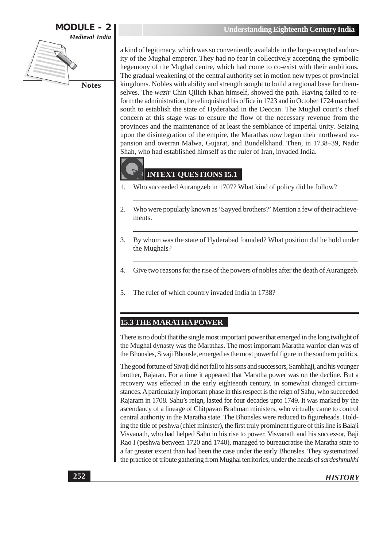

a kind of legitimacy, which was so conveniently available in the long-accepted authority of the Mughal emperor. They had no fear in collectively accepting the symbolic hegemony of the Mughal centre, which had come to co-exist with their ambitions. The gradual weakening of the central authority set in motion new types of provincial kingdoms. Nobles with ability and strength sought to build a regional base for themselves. The *wazir* Chin Qilich Khan himself, showed the path. Having failed to reform the administration, he relinquished his office in 1723 and in October 1724 marched south to establish the state of Hyderabad in the Deccan. The Mughal court's chief concern at this stage was to ensure the flow of the necessary revenue from the provinces and the maintenance of at least the semblance of imperial unity. Seizing upon the disintegration of the empire, the Marathas now began their northward expansion and overran Malwa, Gujarat, and Bundelkhand. Then, in 1738-39, Nadir Shah, who had established himself as the ruler of Iran, invaded India.



# **INTEXT QUESTIONS 15.1**

- Who succeeded Aurangzeb in 1707? What kind of policy did he follow? 1.
- 2. Who were popularly known as 'Sayyed brothers?' Mention a few of their achievements.
- $\overline{3}$ . By whom was the state of Hyderabad founded? What position did he hold under the Mughals?
- $\overline{4}$ . Give two reasons for the rise of the powers of nobles after the death of Aurangzeb.
- 5. The ruler of which country invaded India in 1738?

#### **15.3 THE MARATHA POWER**

There is no doubt that the single most important power that emerged in the long twilight of the Mughal dynasty was the Marathas. The most important Maratha warrior clan was of the Bhonsles, Sivaji Bhonsle, emerged as the most powerful figure in the southern politics.

The good fortune of Sivaji did not fall to his sons and successors, Sambhaji, and his younger brother, Rajaran. For a time it appeared that Maratha power was on the decline. But a recovery was effected in the early eighteenth century, in somewhat changed circumstances. A particularly important phase in this respect is the reign of Sahu, who succeeded Rajaram in 1708. Sahu's reign, lasted for four decades upto 1749. It was marked by the ascendancy of a lineage of Chitpavan Brahman ministers, who virtually came to control central authority in the Maratha state. The Bhonsles were reduced to figureheads. Holding the title of peshwa (chief minister), the first truly prominent figure of this line is Balaji Visvanath, who had helped Sahu in his rise to power. Visvanath and his successor, Baji Rao I (peshwa between 1720 and 1740), managed to bureaucratise the Maratha state to a far greater extent than had been the case under the early Bhonsles. They systematized the practice of tribute gathering from Mughal territories, under the heads of sardeshmukhi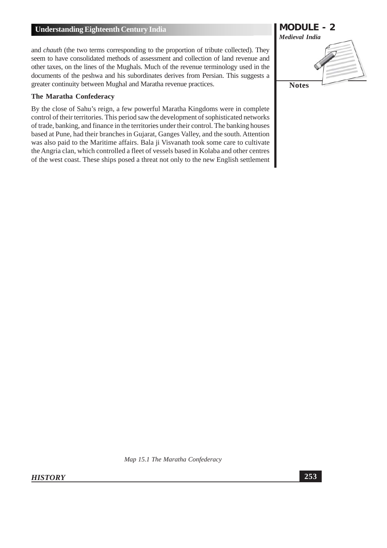and *chauth* (the two terms corresponding to the proportion of tribute collected). They seem to have consolidated methods of assessment and collection of land revenue and other taxes, on the lines of the Mughals. Much of the revenue terminology used in the documents of the peshwa and his subordinates derives from Persian. This suggests a greater continuity between Mughal and Maratha revenue practices.

#### The Maratha Confederacy

By the close of Sahu's reign, a few powerful Maratha Kingdoms were in complete control of their territories. This period saw the development of sophisticated networks of trade, banking, and finance in the territories under their control. The banking houses based at Pune, had their branches in Gujarat, Ganges Valley, and the south. Attention was also paid to the Maritime affairs. Bala ji Visvanath took some care to cultivate the Angria clan, which controlled a fleet of vessels based in Kolaba and other centres of the west coast. These ships posed a threat not only to the new English settlement



Map 15.1 The Maratha Confederacy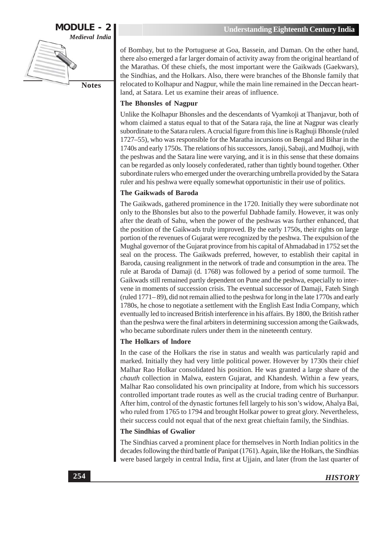

of Bombay, but to the Portuguese at Goa, Bassein, and Daman. On the other hand, there also emerged a far larger domain of activity away from the original heartland of the Marathas. Of these chiefs, the most important were the Gaikwads (Gaekwars), the Sindhias, and the Holkars. Also, there were branches of the Bhonsle family that relocated to Kolhapur and Nagpur, while the main line remained in the Deccan heartland, at Satara. Let us examine their areas of influence.

#### The Bhonsles of Nagpur

Unlike the Kolhapur Bhonsles and the descendants of Vyamkoji at Thanjavur, both of whom claimed a status equal to that of the Satara raja, the line at Nagpur was clearly subordinate to the Satara rulers. A crucial figure from this line is Raghuji Bhonsle (ruled 1727–55), who was responsible for the Maratha incursions on Bengal and Bihar in the 1740s and early 1750s. The relations of his successors, Janoji, Sabaji, and Mudhoji, with the peshwas and the Satara line were varying, and it is in this sense that these domains can be regarded as only loosely confederated, rather than tightly bound together. Other subordinate rulers who emerged under the overarching umbrella provided by the Satara ruler and his peshwa were equally somewhat opportunistic in their use of politics.

#### **The Gaikwads of Baroda**

The Gaikwads, gathered prominence in the 1720. Initially they were subordinate not only to the Bhonsles but also to the powerful Dabhade family. However, it was only after the death of Sahu, when the power of the peshwas was further enhanced, that the position of the Gaikwads truly improved. By the early 1750s, their rights on large portion of the revenues of Gujarat were recognized by the peshwa. The expulsion of the Mughal governor of the Gujarat province from his capital of Ahmadabad in 1752 set the seal on the process. The Gaikwads preferred, however, to establish their capital in Baroda, causing realignment in the network of trade and consumption in the area. The rule at Baroda of Damaji (d. 1768) was followed by a period of some turmoil. The Gaikwads still remained partly dependent on Pune and the peshwa, especially to intervene in moments of succession crisis. The eventual successor of Damaji, Fateh Singh (ruled 1771–89), did not remain allied to the peshwa for long in the late 1770s and early 1780s, he chose to negotiate a settlement with the English East India Company, which eventually led to increased British interference in his affairs. By 1800, the British rather than the peshwa were the final arbiters in determining succession among the Gaikwads, who became subordinate rulers under them in the nineteenth century.

#### The Holkars of Indore

In the case of the Holkars the rise in status and wealth was particularly rapid and marked. Initially they had very little political power. However by 1730s their chief Malhar Rao Holkar consolidated his position. He was granted a large share of the chauth collection in Malwa, eastern Gujarat, and Khandesh. Within a few years, Malhar Rao consolidated his own principality at Indore, from which his successors controlled important trade routes as well as the crucial trading centre of Burhanpur. After him, control of the dynastic fortunes fell largely to his son's widow, Ahalya Bai, who ruled from 1765 to 1794 and brought Holkar power to great glory. Nevertheless, their success could not equal that of the next great chieftain family, the Sindhias.

#### **The Sindhias of Gwalior**

The Sindhias carved a prominent place for themselves in North Indian politics in the decades following the third battle of Panipat (1761). Again, like the Holkars, the Sindhias were based largely in central India, first at Ujjain, and later (from the last quarter of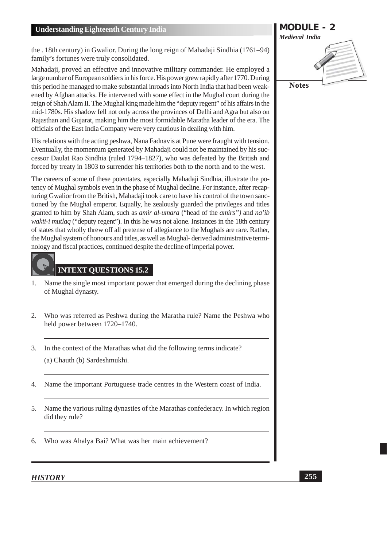the . 18th century) in Gwalior. During the long reign of Mahadaji Sindhia (1761–94) family's fortunes were truly consolidated.

Mahadaii, proved an effective and innovative military commander. He employed a large number of European soldiers in his force. His power grew rapidly after 1770. During this period he managed to make substantial inroads into North India that had been weakened by Afghan attacks. He intervened with some effect in the Mughal court during the reign of Shah Alam II. The Mughal king made him the "deputy regent" of his affairs in the mid-1780s. His shadow fell not only across the provinces of Delhi and Agra but also on Rajasthan and Gujarat, making him the most formidable Maratha leader of the era. The officials of the East India Company were very cautious in dealing with him.

His relations with the acting peshwa, Nana Fadnavis at Pune were fraught with tension. Eventually, the momentum generated by Mahadaji could not be maintained by his successor Daulat Rao Sindhia (ruled 1794–1827), who was defeated by the British and forced by treaty in 1803 to surrender his territories both to the north and to the west.

The careers of some of these potentates, especially Mahadaji Sindhia, illustrate the potency of Mughal symbols even in the phase of Mughal decline. For instance, after recapturing Gwalior from the British, Mahadaji took care to have his control of the town sanctioned by the Mughal emperor. Equally, he zealously guarded the privileges and titles granted to him by Shah Alam, such as *amir al-umara* ("head of the *amirs*") and *na*'ib *wakii-i mutlaq* ("deputy regent"). In this he was not alone. Instances in the 18th century of states that wholly threw off all pretense of allegiance to the Mughals are rare. Rather, the Mughal system of honours and titles, as well as Mughal-derived administrative terminology and fiscal practices, continued despite the decline of imperial power.



# **INTEXT QUESTIONS 15.2**

- Name the single most important power that emerged during the declining phase 1. of Mughal dynasty.
- 2. Who was referred as Peshwa during the Maratha rule? Name the Peshwa who held power between 1720-1740.
- $3.$ In the context of the Marathas what did the following terms indicate? (a) Chauth (b) Sardeshmukhi.
- Name the important Portuguese trade centres in the Western coast of India.  $\overline{4}$ .
- Name the various ruling dynasties of the Marathas confederacy. In which region 5. did they rule?
- Who was Ahalya Bai? What was her main achievement? 6.

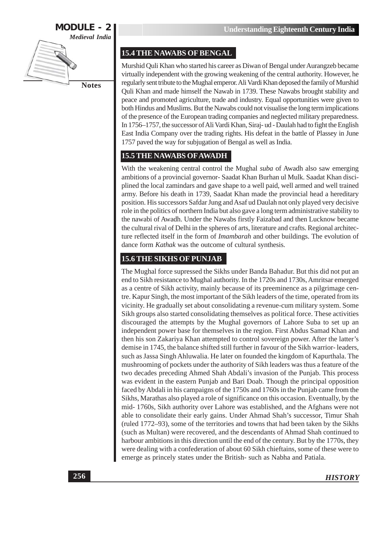

# **15.4 THE NAWABS OF BENGAL**

Murshid Quli Khan who started his career as Diwan of Bengal under Aurangzeb became virtually independent with the growing weakening of the central authority. However, he regularly sent tribute to the Mughal emperor. Ali Vardi Khan deposed the family of Murshid Quli Khan and made himself the Nawab in 1739. These Nawabs brought stability and peace and promoted agriculture, trade and industry. Equal opportunities were given to both Hindus and Muslims. But the Nawabs could not visualise the long term implications of the presence of the European trading companies and neglected military preparedness. In 1756–1757, the successor of Ali Vardi Khan, Siraj-ud - Daulah had to fight the English East India Company over the trading rights. His defeat in the battle of Plassey in June 1757 paved the way for subjugation of Bengal as well as India.

# **15.5 THE NAWABS OF AWADH**

With the weakening central control the Mughal *suba* of Awadh also saw emerging ambitions of a provincial governor- Saadat Khan Burhan ul Mulk. Saadat Khan disciplined the local zamindars and gave shape to a well paid, well armed and well trained army. Before his death in 1739, Saadat Khan made the provincial head a hereditary position. His successors Safdar Jung and Asaf ud Daulah not only played very decisive role in the politics of northern India but also gave a long term administrative stability to the nawabi of Awadh. Under the Nawabs firstly Faizabad and then Lucknow became the cultural rival of Delhi in the spheres of arts, literature and crafts. Regional architecture reflected itself in the form of *Imambarah* and other buildings. The evolution of dance form Kathak was the outcome of cultural synthesis.

### **15.6 THE SIKHS OF PUNJAB**

The Mughal force supressed the Sikhs under Banda Bahadur. But this did not put an end to Sikh resistance to Mughal authority. In the 1720s and 1730s, Amritsar emerged as a centre of Sikh activity, mainly because of its preeminence as a pilgrimage centre. Kapur Singh, the most important of the Sikh leaders of the time, operated from its vicinity. He gradually set about consolidating a revenue-cum military system. Some Sikh groups also started consolidating themselves as political force. These activities discouraged the attempts by the Mughal governors of Lahore Suba to set up an independent power base for themselves in the region. First Abdus Samad Khan and then his son Zakariya Khan attempted to control sovereign power. After the latter's demise in 1745, the balance shifted still further in favour of the Sikh warrior-leaders, such as Jassa Singh Ahluwalia. He later on founded the kingdom of Kapurthala. The mushrooming of pockets under the authority of Sikh leaders was thus a feature of the two decades preceding Ahmed Shah Abdali's invasion of the Punjab. This process was evident in the eastern Punjab and Bari Doab. Though the principal opposition faced by Abdali in his campaigns of the 1750s and 1760s in the Punjab came from the Sikhs, Marathas also played a role of significance on this occasion. Eventually, by the mid-1760s, Sikh authority over Lahore was established, and the Afghans were not able to consolidate their early gains. Under Ahmad Shah's successor, Timur Shah (ruled 1772–93), some of the territories and towns that had been taken by the Sikhs (such as Multan) were recovered, and the descendants of Ahmad Shah continued to harbour ambitions in this direction until the end of the century. But by the 1770s, they were dealing with a confederation of about 60 Sikh chieftains, some of these were to emerge as princely states under the British- such as Nabha and Patiala.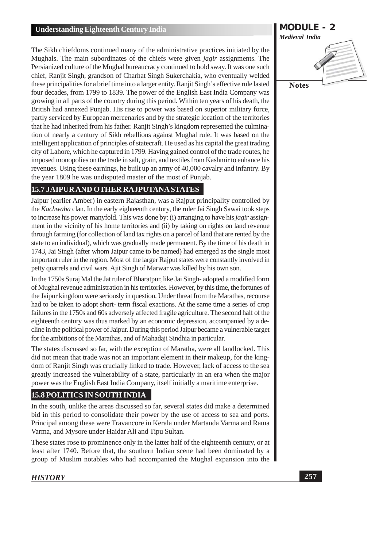The Sikh chiefdoms continued many of the administrative practices initiated by the Mughals. The main subordinates of the chiefs were given *jagir* assignments. The Persianized culture of the Mughal bureaucracy continued to hold sway. It was one such chief, Ranjit Singh, grandson of Charhat Singh Sukerchakia, who eventually welded these principalities for a brief time into a larger entity. Ranjit Singh's effective rule lasted four decades, from 1799 to 1839. The power of the English East India Company was growing in all parts of the country during this period. Within ten years of his death, the British had annexed Punjab. His rise to power was based on superior military force, partly serviced by European mercenaries and by the strategic location of the territories that he had inherited from his father. Ranjit Singh's kingdom represented the culmination of nearly a century of Sikh rebellions against Mughal rule. It was based on the intelligent application of principles of statecraft. He used as his capital the great trading city of Lahore, which he captured in 1799. Having gained control of the trade routes, he imposed monopolies on the trade in salt, grain, and textiles from Kashmir to enhance his revenues. Using these earnings, he built up an army of 40,000 cavalry and infantry. By the year 1809 he was undisputed master of the most of Punjab.

# **15.7 JAIPUR AND OTHER RAJPUTANA STATES**

Jaipur (earlier Amber) in eastern Rajasthan, was a Rajput principality controlled by the Kachwaha clan. In the early eighteenth century, the ruler Jai Singh Sawai took steps to increase his power manyfold. This was done by: (i) arranging to have his *jagir* assignment in the vicinity of his home territories and (ii) by taking on rights on land revenue through farming (for collection of land tax rights on a parcel of land that are rented by the state to an individual), which was gradually made permanent. By the time of his death in 1743, Jai Singh (after whom Jaipur came to be named) had emerged as the single most important ruler in the region. Most of the larger Rajput states were constantly involved in petty quarrels and civil wars. A jit Singh of Marwar was killed by his own son.

In the 1750s Suraj Mal the Jat ruler of Bharatpur, like Jai Singh-adopted a modified form of Mughal revenue administration in his territories. However, by this time, the fortunes of the Jaipur kingdom were seriously in question. Under threat from the Marathas, recourse had to be taken to adopt short- term fiscal exactions. At the same time a series of crop failures in the 1750s and 60s adversely affected fragile agriculture. The second half of the eighteenth century was thus marked by an economic depression, accompanied by a decline in the political power of Jaipur. During this period Jaipur became a vulnerable target for the ambitions of the Marathas, and of Mahadaji Sindhia in particular.

The states discussed so far, with the exception of Maratha, were all landlocked. This did not mean that trade was not an important element in their makeup, for the kingdom of Ranjit Singh was crucially linked to trade. However, lack of access to the sea greatly increased the vulnerability of a state, particularly in an era when the major power was the English East India Company, itself initially a maritime enterprise.

#### **15.8 POLITICS IN SOUTH INDIA**

In the south, unlike the areas discussed so far, several states did make a determined bid in this period to consolidate their power by the use of access to sea and ports. Principal among these were Travancore in Kerala under Martanda Varma and Rama Varma, and Mysore under Haidar Ali and Tipu Sultan.

These states rose to prominence only in the latter half of the eighteenth century, or at least after 1740. Before that, the southern Indian scene had been dominated by a group of Muslim notables who had accompanied the Mughal expansion into the

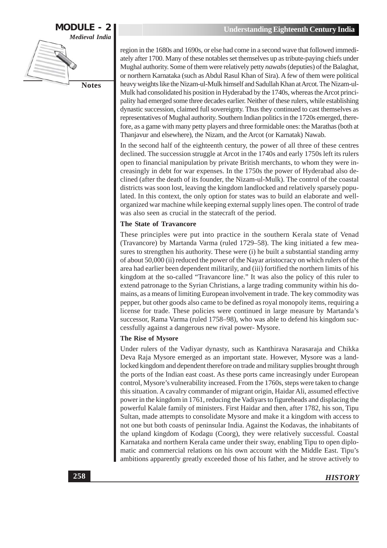

region in the 1680s and 1690s, or else had come in a second wave that followed immediately after 1700. Many of these notables set themselves up as tribute-paying chiefs under Mughal authority. Some of them were relatively petty nawabs (deputies) of the Balaghat, or northern Karnataka (such as Abdul Rasul Khan of Sira). A few of them were political heavy weights like the Nizam-ul-Mulk himself and Sadullah Khan at Arcot. The Nizam-ul-Mulk had consolidated his position in Hyderabad by the 1740s, whereas the Arcot principality had emerged some three decades earlier. Neither of these rulers, while establishing dynastic succession, claimed full sovereignty. Thus they continued to cast themselves as representatives of Mughal authority. Southern Indian politics in the 1720s emerged, therefore, as a game with many petty players and three formidable ones: the Marathas (both at Thanjavur and elsewhere), the Nizam, and the Arcot (or Karnatak) Nawab.

In the second half of the eighteenth century, the power of all three of these centres declined. The succession struggle at Arcot in the 1740s and early 1750s left its rulers open to financial manipulation by private British merchants, to whom they were increasingly in debt for war expenses. In the 1750s the power of Hyderabad also declined (after the death of its founder, the Nizam-ul-Mulk). The control of the coastal districts was soon lost, leaving the kingdom landlocked and relatively sparsely populated. In this context, the only option for states was to build an elaborate and wellorganized war machine while keeping external supply lines open. The control of trade was also seen as crucial in the statecraft of the period.

#### The State of Travancore

These principles were put into practice in the southern Kerala state of Venad (Travancore) by Martanda Varma (ruled 1729–58). The king initiated a few measures to strengthen his authority. These were (i) he built a substantial standing army of about 50,000 (ii) reduced the power of the Navar aristocracy on which rulers of the area had earlier been dependent militarily, and (iii) fortified the northern limits of his kingdom at the so-called "Travancore line." It was also the policy of this ruler to extend patronage to the Syrian Christians, a large trading community within his domains, as a means of limiting European involvement in trade. The key commodity was pepper, but other goods also came to be defined as royal monopoly items, requiring a license for trade. These policies were continued in large measure by Martanda's successor, Rama Varma (ruled 1758–98), who was able to defend his kingdom successfully against a dangerous new rival power- Mysore.

#### The Rise of Mysore

Under rulers of the Vadiyar dynasty, such as Kanthirava Narasaraja and Chikka Deva Raja Mysore emerged as an important state. However, Mysore was a landlocked kingdom and dependent therefore on trade and military supplies brought through the ports of the Indian east coast. As these ports came increasingly under European control, Mysore's vulnerability increased. From the 1760s, steps were taken to change this situation. A cavalry commander of migrant origin, Haidar Ali, assumed effective power in the kingdom in 1761, reducing the Vadiyars to figureheads and displacing the powerful Kalale family of ministers. First Haidar and then, after 1782, his son, Tipu Sultan, made attempts to consolidate Mysore and make it a kingdom with access to not one but both coasts of peninsular India. Against the Kodavas, the inhabitants of the upland kingdom of Kodagu (Coorg), they were relatively successful. Coastal Karnataka and northern Kerala came under their sway, enabling Tipu to open diplomatic and commercial relations on his own account with the Middle East. Tipu's ambitions apparently greatly exceeded those of his father, and he strove actively to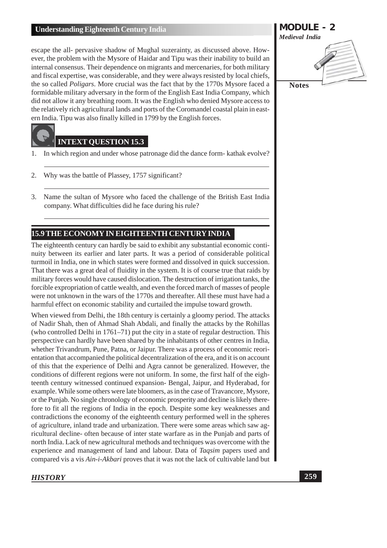escape the all- pervasive shadow of Mughal suzerainty, as discussed above. However, the problem with the Mysore of Haidar and Tipu was their inability to build an internal consensus. Their dependence on migrants and mercenaries, for both military and fiscal expertise, was considerable, and they were always resisted by local chiefs, the so called *Poligars*. More crucial was the fact that by the 1770s Mysore faced a formidable military adversary in the form of the English East India Company, which did not allow it any breathing room. It was the English who denied Mysore access to the relatively rich agricultural lands and ports of the Coromandel coastal plain in eastern India. Tipu was also finally killed in 1799 by the English forces.

# **INTEXT OUESTION 15.3**

- 1. In which region and under whose patronage did the dance form- kathak evolve?
- $2.$ Why was the battle of Plassey, 1757 significant?
- $3.$ Name the sultan of Mysore who faced the challenge of the British East India company. What difficulties did he face during his rule?

# 15.9 THE ECONOMY IN EIGHTEENTH CENTURY INDIA

The eighteenth century can hardly be said to exhibit any substantial economic continuity between its earlier and later parts. It was a period of considerable political turmoil in India, one in which states were formed and dissolved in quick succession. That there was a great deal of fluidity in the system. It is of course true that raids by military forces would have caused dislocation. The destruction of irrigation tanks, the forcible expropriation of cattle wealth, and even the forced march of masses of people were not unknown in the wars of the 1770s and thereafter. All these must have had a harmful effect on economic stability and curtailed the impulse toward growth.

When viewed from Delhi, the 18th century is certainly a gloomy period. The attacks of Nadir Shah, then of Ahmad Shah Abdali, and finally the attacks by the Rohillas (who controlled Delhi in 1761–71) put the city in a state of regular destruction. This perspective can hardly have been shared by the inhabitants of other centres in India, whether Trivandrum, Pune, Patna, or Jaipur. There was a process of economic reorientation that accompanied the political decentralization of the era, and it is on account of this that the experience of Delhi and Agra cannot be generalized. However, the conditions of different regions were not uniform. In some, the first half of the eighteenth century witnessed continued expansion- Bengal, Jaipur, and Hyderabad, for example. While some others were late bloomers, as in the case of Travancore, Mysore, or the Punjab. No single chronology of economic prosperity and decline is likely therefore to fit all the regions of India in the epoch. Despite some key weaknesses and contradictions the economy of the eighteenth century performed well in the spheres of agriculture, inland trade and urbanization. There were some areas which saw agricultural decline- often because of inter state warfare as in the Punjab and parts of north India. Lack of new agricultural methods and techniques was overcome with the experience and management of land and labour. Data of Tagsim papers used and compared vis a vis Ain-i-Akbari proves that it was not the lack of cultivable land but

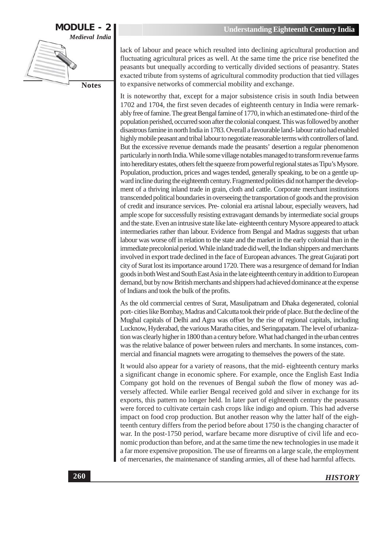

lack of labour and peace which resulted into declining agricultural production and fluctuating agricultural prices as well. At the same time the price rise benefited the peasants but unequally according to vertically divided sections of peasantry. States exacted tribute from systems of agricultural commodity production that tied villages to expansive networks of commercial mobility and exchange.

It is noteworthy that, except for a major subsistence crisis in south India between 1702 and 1704, the first seven decades of eighteenth century in India were remarkably free of famine. The great Bengal famine of 1770, in which an estimated one-third of the population perished, occurred soon after the colonial conquest. This was followed by another disastrous famine in north India in 1783. Overall a favourable land-labour ratio had enabled highly mobile peasant and tribal labour to negotiate reasonable terms with controllers of land. But the excessive revenue demands made the peasants' desertion a regular phenomenon particularly in north India. While some village notables managed to transform revenue farms into hereditary estates, others felt the squeeze from powerful regional states as Tipu's Mysore. Population, production, prices and wages tended, generally speaking, to be on a gentle upward incline during the eighteenth century. Fragmented polities did not hamper the development of a thriving inland trade in grain, cloth and cattle. Corporate merchant institutions transcended political boundaries in overseeing the transportation of goods and the provision of credit and insurance services. Pre-colonial era artisnal labour, especially weavers, had ample scope for successfully resisting extravagant demands by intermediate social groups and the state. Even an intrusive state like late-eighteenth century Mysore appeared to attack intermediaries rather than labour. Evidence from Bengal and Madras suggests that urban labour was worse off in relation to the state and the market in the early colonial than in the immediate precolonial period. While inland trade did well, the Indian shippers and merchants involved in export trade declined in the face of European advances. The great Gujarati port city of Surat lost its importance around 1720. There was a resurgence of demand for Indian goods in both West and South East Asia in the late eighteenth century in addition to European demand, but by now British merchants and shippers had achieved dominance at the expense of Indians and took the bulk of the profits.

As the old commercial centres of Surat, Masulipatnam and Dhaka degenerated, colonial port-cities like Bombay, Madras and Calcutta took their pride of place. But the decline of the Mughal capitals of Delhi and Agra was offset by the rise of regional capitals, including Lucknow, Hyderabad, the various Maratha cities, and Seringapatam. The level of urbanization was clearly higher in 1800 than a century before. What had changed in the urban centres was the relative balance of power between rulers and merchants. In some instances, commercial and financial magnets were arrogating to themselves the powers of the state.

It would also appear for a variety of reasons, that the mid-eighteenth century marks a significant change in economic sphere. For example, once the English East India Company got hold on the revenues of Bengal *subah* the flow of money was adversely affected. While earlier Bengal received gold and silver in exchange for its exports, this pattern no longer held. In later part of eighteenth century the peasants were forced to cultivate certain cash crops like indigo and opium. This had adverse impact on food crop production. But another reason why the latter half of the eighteenth century differs from the period before about 1750 is the changing character of war. In the post-1750 period, warfare became more disruptive of civil life and economic production than before, and at the same time the new technologies in use made it a far more expensive proposition. The use of firearms on a large scale, the employment of mercenaries, the maintenance of standing armies, all of these had harmful affects.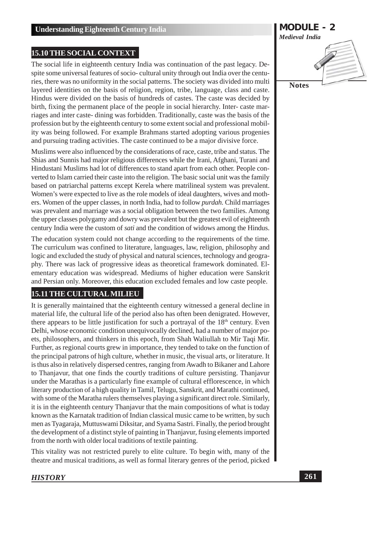#### **15.10 THE SOCIAL CONTEXT**

The social life in eighteenth century India was continuation of the past legacy. Despite some universal features of socio-cultural unity through out India over the centuries, there was no uniformity in the social patterns. The society was divided into multi layered identities on the basis of religion, region, tribe, language, class and caste. Hindus were divided on the basis of hundreds of castes. The caste was decided by birth, fixing the permanent place of the people in social hierarchy. Inter-caste marriages and inter caste-dining was forbidden. Traditionally, caste was the basis of the profession but by the eighteenth century to some extent social and professional mobility was being followed. For example Brahmans started adopting various progenies and pursuing trading activities. The caste continued to be a major divisive force.

Muslims were also influenced by the considerations of race, caste, tribe and status. The Shias and Sunnis had major religious differences while the Irani, Afghani, Turani and Hindustani Muslims had lot of differences to stand apart from each other. People converted to Islam carried their caste into the religion. The basic social unit was the family based on patriarchal patterns except Kerela where matrilineal system was prevalent. Women's were expected to live as the role models of ideal daughters, wives and mothers. Women of the upper classes, in north India, had to follow *purdah*. Child marriages was prevalent and marriage was a social obligation between the two families. Among the upper classes polygamy and dowry was prevalent but the greatest evil of eighteenth century India were the custom of *sati* and the condition of widows among the Hindus.

The education system could not change according to the requirements of the time. The curriculum was confined to literature, languages, law, religion, philosophy and logic and excluded the study of physical and natural sciences, technology and geography. There was lack of progressive ideas as theoretical framework dominated. Elementary education was widespread. Mediums of higher education were Sanskrit and Persian only. Moreover, this education excluded females and low caste people.

#### **15.11 THE CULTURAL MILIEU**

It is generally maintained that the eighteenth century witnessed a general decline in material life, the cultural life of the period also has often been denigrated. However, there appears to be little justification for such a portrayal of the 18<sup>th</sup> century. Even Delhi, whose economic condition unequivocally declined, had a number of major poets, philosophers, and thinkers in this epoch, from Shah Waliullah to Mir Taqi Mir. Further, as regional courts grew in importance, they tended to take on the function of the principal patrons of high culture, whether in music, the visual arts, or literature. It is thus also in relatively dispersed centres, ranging from Awadh to Bikaner and Lahore to Thanjavur, that one finds the courtly traditions of culture persisting. Thanjavur under the Marathas is a particularly fine example of cultural efflorescence, in which literary production of a high quality in Tamil, Telugu, Sanskrit, and Marathi continued, with some of the Maratha rulers themselves playing a significant direct role. Similarly, it is in the eighteenth century Thanjavur that the main compositions of what is today known as the Karnatak tradition of Indian classical music came to be written, by such men as Tyagaraja, Muttuswami Diksitar, and Syama Sastri. Finally, the period brought the development of a distinct style of painting in Thanjavur, fusing elements imported from the north with older local traditions of textile painting.

This vitality was not restricted purely to elite culture. To begin with, many of the theatre and musical traditions, as well as formal literary genres of the period, picked

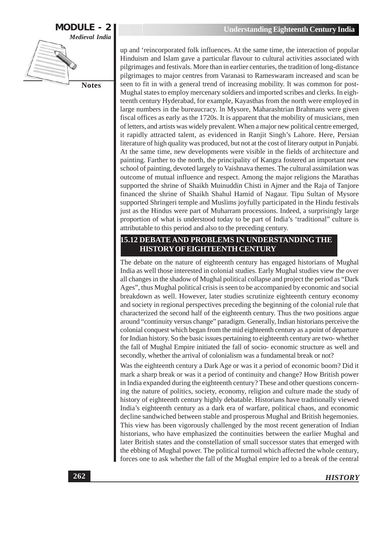

up and 'reincorporated folk influences. At the same time, the interaction of popular Hinduism and Islam gave a particular flavour to cultural activities associated with pilgrimages and festivals. More than in earlier centuries, the tradition of long-distance pilgrimages to major centres from Varanasi to Rameswaram increased and scan be seen to fit in with a general trend of increasing mobility. It was common for post-Mughal states to employ mercenary soldiers and imported scribes and clerks. In eighteenth century Hyderabad, for example, Kayasthas from the north were employed in large numbers in the bureaucracy. In Mysore, Maharashtrian Brahmans were given fiscal offices as early as the 1720s. It is apparent that the mobility of musicians, men of letters, and artists was widely prevalent. When a major new political centre emerged, it rapidly attracted talent, as evidenced in Ranjit Singh's Lahore. Here, Persian literature of high quality was produced, but not at the cost of literary output in Punjabi. At the same time, new developments were visible in the fields of architecture and painting. Farther to the north, the principality of Kangra fostered an important new school of painting, devoted largely to Vaishnava themes. The cultural assimilation was outcome of mutual influence and respect. Among the major religions the Marathas supported the shrine of Shaikh Muinuddin Chisti in Ajmer and the Raja of Tanjore financed the shrine of Shaikh Shahul Hamid of Nagaur. Tipu Sultan of Mysore supported Shringeri temple and Muslims joyfully participated in the Hindu festivals just as the Hindus were part of Muharram processions. Indeed, a surprisingly large proportion of what is understood today to be part of India's 'traditional'' culture is attributable to this period and also to the preceding century.

#### 15.12 DEBATE AND PROBLEMS IN UNDERSTANDING THE **HISTORY OF EIGHTEENTH CENTURY**

The debate on the nature of eighteenth century has engaged historians of Mughal India as well those interested in colonial studies. Early Mughal studies view the over all changes in the shadow of Mughal political collapse and project the period as "Dark" Ages", thus Mughal political crisis is seen to be accompanied by economic and social breakdown as well. However, later studies scrutinize eighteenth century economy and society in regional perspectives preceding the beginning of the colonial rule that characterized the second half of the eighteenth century. Thus the two positions argue around "continuity versus change" paradigm. Generally, Indian historians perceive the colonial conquest which began from the mid eighteenth century as a point of departure for Indian history. So the basic issues pertaining to eighteenth century are two-whether the fall of Mughal Empire initiated the fall of socio-economic structure as well and secondly, whether the arrival of colonialism was a fundamental break or not?

Was the eighteenth century a Dark Age or was it a period of economic boom? Did it mark a sharp break or was it a period of continuity and change? How British power in India expanded during the eighteenth century? These and other questions concerning the nature of politics, society, economy, religion and culture made the study of history of eighteenth century highly debatable. Historians have traditionally viewed India's eighteenth century as a dark era of warfare, political chaos, and economic decline sandwiched between stable and prosperous Mughal and British hegemonies. This view has been vigorously challenged by the most recent generation of Indian historians, who have emphasized the continuities between the earlier Mughal and later British states and the constellation of small successor states that emerged with the ebbing of Mughal power. The political turmoil which affected the whole century, forces one to ask whether the fall of the Mughal empire led to a break of the central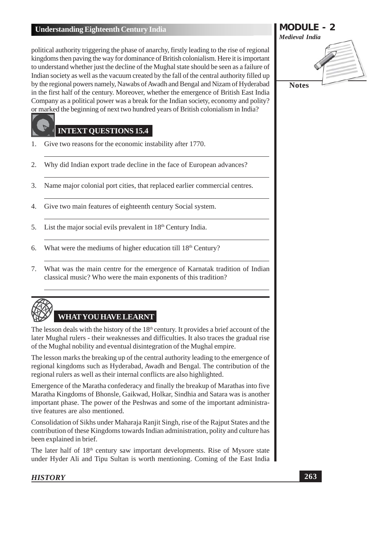political authority triggering the phase of anarchy, firstly leading to the rise of regional kingdoms then paving the way for dominance of British colonialism. Here it is important to understand whether just the decline of the Mughal state should be seen as a failure of Indian society as well as the vacuum created by the fall of the central authority filled up by the regional powers namely, Nawabs of Awadh and Bengal and Nizam of Hyderabad in the first half of the century. Moreover, whether the emergence of British East India Company as a political power was a break for the Indian society, economy and polity? or marked the beginning of next two hundred years of British colonialism in India?

#### **INTEXT QUESTIONS 15.4**

- Give two reasons for the economic instability after 1770. 1.
- $\overline{2}$ . Why did Indian export trade decline in the face of European advances?
- Name major colonial port cities, that replaced earlier commercial centres. 3.
- Give two main features of eighteenth century Social system.  $\overline{4}$ .
- $5<sub>1</sub>$ List the major social evils prevalent in 18<sup>th</sup> Century India.
- What were the mediums of higher education till 18<sup>th</sup> Century? 6.
- What was the main centre for the emergence of Karnatak tradition of Indian 7. classical music? Who were the main exponents of this tradition?



# **WHAT YOU HAVE LEARNT**

The lesson deals with the history of the  $18<sup>th</sup>$  century. It provides a brief account of the later Mughal rulers - their weaknesses and difficulties. It also traces the gradual rise of the Mughal nobility and eventual disintegration of the Mughal empire.

The lesson marks the breaking up of the central authority leading to the emergence of regional kingdoms such as Hyderabad, Awadh and Bengal. The contribution of the regional rulers as well as their internal conflicts are also highlighted.

Emergence of the Maratha confederacy and finally the breakup of Marathas into five Maratha Kingdoms of Bhonsle, Gaikwad, Holkar, Sindhia and Satara was is another important phase. The power of the Peshwas and some of the important administrative features are also mentioned.

Consolidation of Sikhs under Maharaja Ranjit Singh, rise of the Rajput States and the contribution of these Kingdoms towards Indian administration, polity and culture has been explained in brief.

The later half of 18<sup>th</sup> century saw important developments. Rise of Mysore state under Hyder Ali and Tipu Sultan is worth mentioning. Coming of the East India

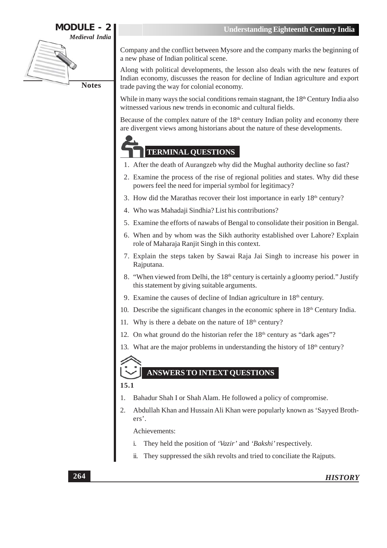

Company and the conflict between Mysore and the company marks the beginning of a new phase of Indian political scene.

Along with political developments, the lesson also deals with the new features of Indian economy, discusses the reason for decline of Indian agriculture and export trade paving the way for colonial economy.

While in many ways the social conditions remain stagnant, the 18<sup>th</sup> Century India also witnessed various new trends in economic and cultural fields.

Because of the complex nature of the  $18<sup>th</sup>$  century Indian polity and economy there are divergent views among historians about the nature of these developments.

# **TERMINAL QUESTIONS**

- 1. After the death of Aurangzeb why did the Mughal authority decline so fast?
- 2. Examine the process of the rise of regional polities and states. Why did these powers feel the need for imperial symbol for legitimacy?
- 3. How did the Marathas recover their lost importance in early 18th century?
- 4. Who was Mahadaji Sindhia? List his contributions?
- 5. Examine the efforts of nawabs of Bengal to consolidate their position in Bengal.
- 6. When and by whom was the Sikh authority established over Lahore? Explain role of Maharaja Ranjit Singh in this context.
- 7. Explain the steps taken by Sawai Raja Jai Singh to increase his power in Rajputana.
- 8. "When viewed from Delhi, the 18<sup>th</sup> century is certainly a gloomy period." Justify this statement by giving suitable arguments.
- 9. Examine the causes of decline of Indian agriculture in  $18<sup>th</sup>$  century.
- 10. Describe the significant changes in the economic sphere in 18<sup>th</sup> Century India.
- 11. Why is there a debate on the nature of  $18<sup>th</sup>$  century?
- 12. On what ground do the historian refer the  $18<sup>th</sup>$  century as "dark ages"?
- 13. What are the major problems in understanding the history of 18<sup>th</sup> century?

# 15.1

**ANSWERS TO INTEXT OUESTIONS** 

- Bahadur Shah I or Shah Alam. He followed a policy of compromise.  $\mathbf{1}$
- Abdullah Khan and Hussain Ali Khan were popularly known as 'Sayyed Broth- $2.$  $ers<sup>'</sup>$ .

Achievements:

- $\mathbf{i}$ . They held the position of 'Vazir' and 'Bakshi' respectively.
- $ii.$ They suppressed the sikh revolts and tried to conciliate the Rajputs.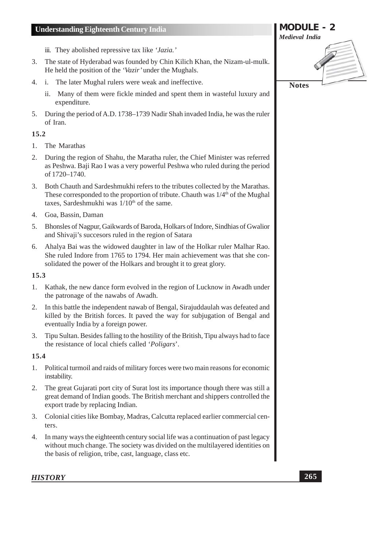- iii. They abolished repressive tax like 'Jazia.'
- The state of Hyderabad was founded by Chin Kilich Khan, the Nizam-ul-mulk.  $3.$ He held the position of the 'Vazir' under the Mughals.
- i. The later Mughal rulers were weak and ineffective.  $4.$ 
	- ii. Many of them were fickle minded and spent them in wasteful luxury and expenditure.
- 5. During the period of A.D. 1738–1739 Nadir Shah invaded India, he was the ruler of Iran.

# 15.2

- 1. The Marathas
- During the region of Shahu, the Maratha ruler, the Chief Minister was referred  $2.$ as Peshwa. Baji Rao I was a very powerful Peshwa who ruled during the period of 1720-1740.
- Both Chauth and Sardeshmukhi refers to the tributes collected by the Marathas.  $3.$ These corresponded to the proportion of tribute. Chauth was 1/4<sup>th</sup> of the Mughal taxes, Sardeshmukhi was 1/10<sup>th</sup> of the same.
- Goa, Bassin, Daman 4.
- Bhonsles of Nagpur, Gaikwards of Baroda, Holkars of Indore, Sindhias of Gwalior  $5.$ and Shivaji's succesors ruled in the region of Satara
- Ahalya Bai was the widowed daughter in law of the Holkar ruler Malhar Rao.  $6<sub>l</sub>$ She ruled Indore from 1765 to 1794. Her main achievement was that she consolidated the power of the Holkars and brought it to great glory.

#### 15.3

- 1. Kathak, the new dance form evolved in the region of Lucknow in Awadh under the patronage of the nawabs of Awadh.
- $2<sub>1</sub>$ In this battle the independent nawab of Bengal, Sirajuddaulah was defeated and killed by the British forces. It paved the way for subjugation of Bengal and eventually India by a foreign power.
- Tipu Sultan. Besides falling to the hostility of the British, Tipu always had to face  $\mathfrak{Z}$ . the resistance of local chiefs called 'Poligars'.

# 15.4

- 1. Political turmoil and raids of military forces were two main reasons for economic instability.
- 2. The great Gujarati port city of Surat lost its importance though there was still a great demand of Indian goods. The British merchant and shippers controlled the export trade by replacing Indian.
- 3. Colonial cities like Bombay, Madras, Calcutta replaced earlier commercial centers.
- $4.$ In many ways the eighteenth century social life was a continuation of past legacy without much change. The society was divided on the multilavered identities on the basis of religion, tribe, cast, language, class etc.